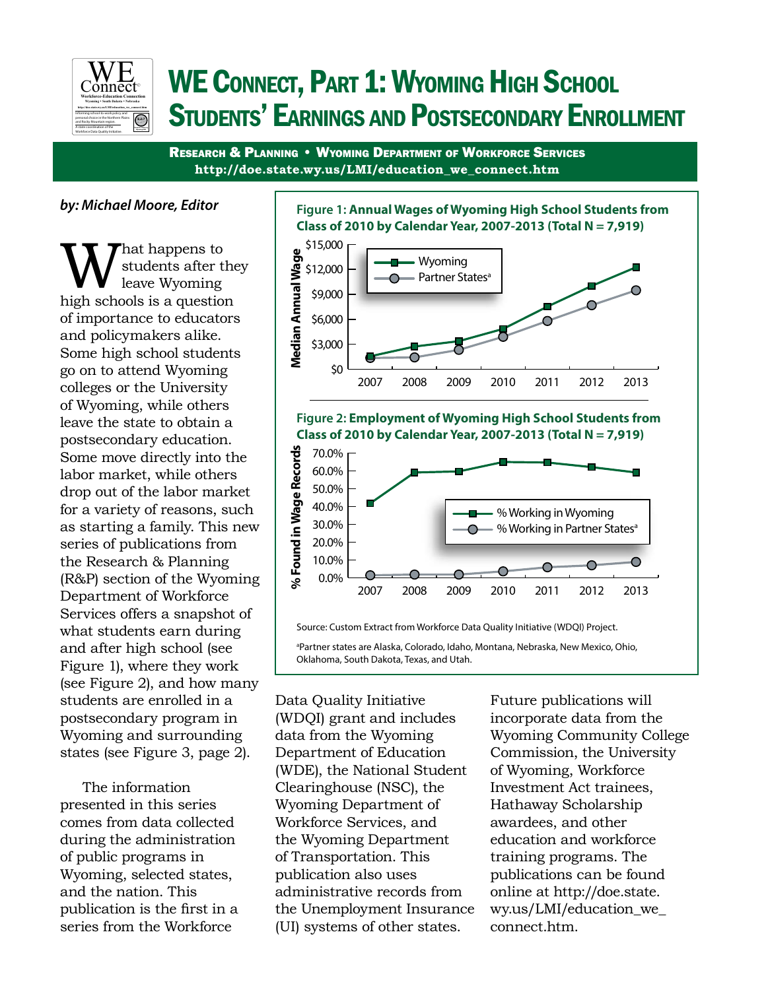

# WE CONNECT, PART 1: WYOMING HIGH SCHOOL Students' Earnings and Postsecondary Enrollment

Research & Planning • Wyoming Department of Workforce Services **http://doe.state.wy.us/LMI/education\_we\_connect.htm**

*by: Michael Moore, Editor*

**W** students after the leave Wyoming high schools is a question students after they leave Wyoming of importance to educators and policymakers alike. Some high school students go on to attend Wyoming colleges or the University of Wyoming, while others leave the state to obtain a postsecondary education. Some move directly into the labor market, while others drop out of the labor market for a variety of reasons, such as starting a family. This new series of publications from the Research & Planning (R&P) section of the Wyoming Department of Workforce Services offers a snapshot of what students earn during and after high school (see Figure 1), where they work (see Figure 2), and how many students are enrolled in a postsecondary program in Wyoming and surrounding states (see Figure 3, page 2).

The information presented in this series comes from data collected during the administration of public programs in Wyoming, selected states, and the nation. This publication is the first in a series from the Workforce







Source: Custom Extract from Workforce Data Quality Initiative (WDQI) Project.

a Partner states are Alaska, Colorado, Idaho, Montana, Nebraska, New Mexico, Ohio, Oklahoma, South Dakota, Texas, and Utah.

Data Quality Initiative (WDQI) grant and includes data from the Wyoming Department of Education (WDE), the National Student Clearinghouse (NSC), the Wyoming Department of Workforce Services, and the Wyoming Department of Transportation. This publication also uses administrative records from the Unemployment Insurance (UI) systems of other states.

Future publications will incorporate data from the Wyoming Community College Commission, the University of Wyoming, Workforce Investment Act trainees, Hathaway Scholarship awardees, and other education and workforce training programs. The publications can be found online at http://doe.state. wy.us/LMI/education\_we\_ connect.htm.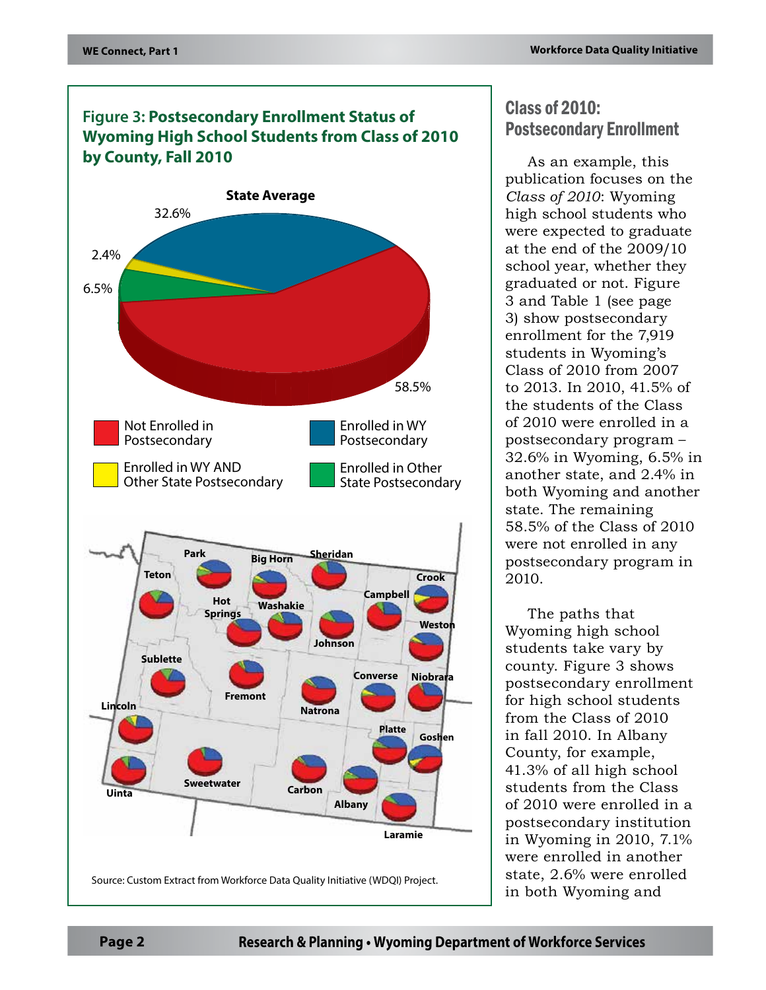## **Figure 3: Postsecondary Enrollment Status of Wyoming High School Students from Class of 2010 by County, Fall 2010**



# Class of 2010: Postsecondary Enrollment

As an example, this publication focuses on the *Class of 2010*: Wyoming high school students who were expected to graduate at the end of the 2009/10 school year, whether they graduated or not. Figure 3 and Table 1 (see page 3) show postsecondary enrollment for the 7,919 students in Wyoming's Class of 2010 from 2007 to 2013. In 2010, 41.5% of the students of the Class of 2010 were enrolled in a postsecondary program – 32.6% in Wyoming, 6.5% in another state, and 2.4% in both Wyoming and another state. The remaining 58.5% of the Class of 2010 were not enrolled in any postsecondary program in 2010.

The paths that Wyoming high school students take vary by county. Figure 3 shows postsecondary enrollment for high school students from the Class of 2010 in fall 2010. In Albany County, for example, 41.3% of all high school students from the Class of 2010 were enrolled in a postsecondary institution in Wyoming in 2010, 7.1% were enrolled in another state, 2.6% were enrolled in both Wyoming and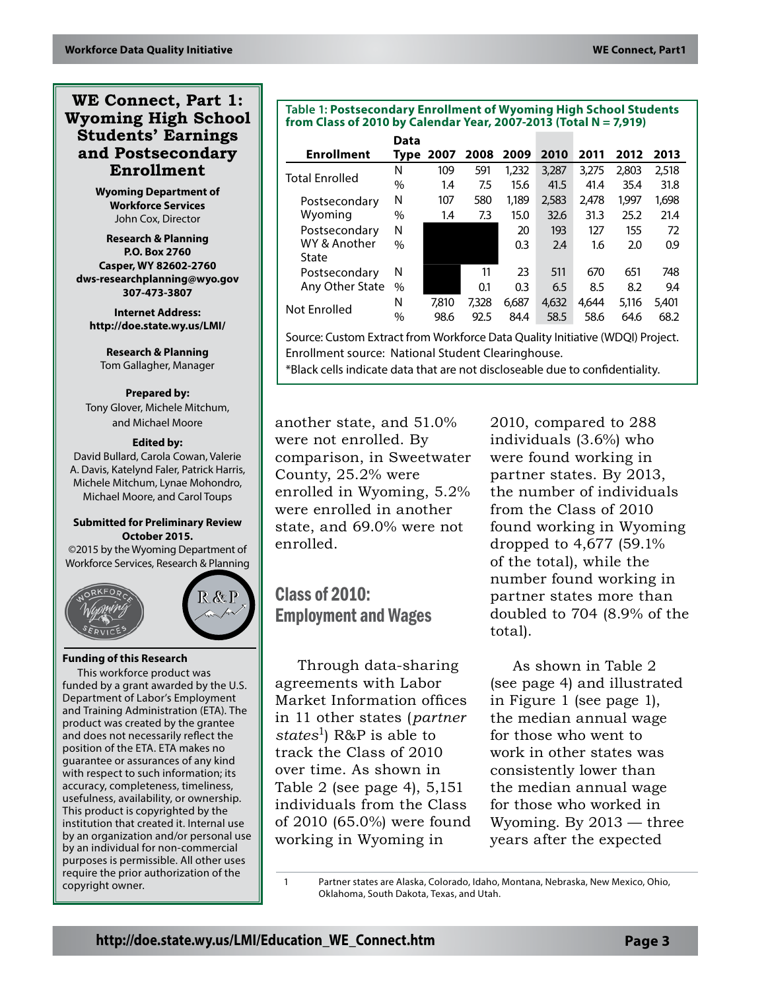## **WE Connect, Part 1: Wyoming High School Students' Earnings and Postsecondary Enrollment**

**Wyoming Department of Workforce Services** John Cox, Director

**Research & Planning P.O. Box 2760 Casper, WY 82602-2760 dws-researchplanning@wyo.gov 307-473-3807**

**Internet Address: http://doe.state.wy.us/LMI/**

**Research & Planning** Tom Gallagher, Manager

#### **Prepared by:**

Tony Glover, Michele Mitchum, and Michael Moore

#### **Edited by:**

David Bullard, Carola Cowan, Valerie A. Davis, Katelynd Faler, Patrick Harris, Michele Mitchum, Lynae Mohondro, Michael Moore, and Carol Toups

#### **Submitted for Preliminary Review October 2015.**

©2015 by the Wyoming Department of Workforce Services, Research & Planning



#### **Funding of this Research**

This workforce product was funded by a grant awarded by the U.S. Department of Labor's Employment and Training Administration (ETA). The product was created by the grantee and does not necessarily reflect the position of the ETA. ETA makes no guarantee or assurances of any kind with respect to such information; its accuracy, completeness, timeliness, usefulness, availability, or ownership. This product is copyrighted by the institution that created it. Internal use by an organization and/or personal use by an individual for non-commercial purposes is permissible. All other uses require the prior authorization of the copyright owner.

#### **Table 1: Postsecondary Enrollment of Wyoming High School Students from Class of 2010 by Calendar Year, 2007-2013 (Total N = 7,919)**

|                       | Data |       |       |       |       |       |       |       |
|-----------------------|------|-------|-------|-------|-------|-------|-------|-------|
| <b>Enrollment</b>     | Type | 2007  | 2008  | 2009  | 2010  | 2011  | 2012  | 2013  |
| <b>Total Enrolled</b> | N    | 109   | 591   | 1,232 | 3,287 | 3.275 | 2,803 | 2,518 |
|                       | $\%$ | 1.4   | 7.5   | 15.6  | 41.5  | 41.4  | 35.4  | 31.8  |
| Postsecondary         | N    | 107   | 580   | 1,189 | 2,583 | 2,478 | 1.997 | 1,698 |
| Wyoming               | $\%$ | 1.4   | 7.3   | 15.0  | 32.6  | 31.3  | 25.2  | 21.4  |
| Postsecondary         | N    |       |       | 20    | 193   | 127   | 155   | 72    |
| WY & Another          | $\%$ |       |       | 0.3   | 2.4   | 1.6   | 2.0   | 0.9   |
| State                 |      |       |       |       |       |       |       |       |
| Postsecondary         | N    |       | 11    | 23    | 511   | 670   | 651   | 748   |
| Any Other State       | %    |       | 0.1   | 0.3   | 6.5   | 8.5   | 8.2   | 9.4   |
|                       | N    | 7.810 | 7.328 | 6,687 | 4,632 | 4.644 | 5,116 | 5.401 |
| Not Enrolled          | $\%$ | 98.6  | 92.5  | 84.4  | 58.5  | 58.6  | 64.6  | 68.2  |

Source: Custom Extract from Workforce Data Quality Initiative (WDQI) Project. Enrollment source: National Student Clearinghouse.

\*Black cells indicate data that are not discloseable due to confidentiality.

another state, and 51.0% were not enrolled. By comparison, in Sweetwater County, 25.2% were enrolled in Wyoming, 5.2% were enrolled in another state, and 69.0% were not enrolled.

Class of 2010: Employment and Wages

Through data-sharing agreements with Labor Market Information offices in 11 other states (*partner states*1) R&P is able to track the Class of 2010 over time. As shown in Table 2 (see page 4), 5,151 individuals from the Class of 2010 (65.0%) were found working in Wyoming in

2010, compared to 288 individuals (3.6%) who were found working in partner states. By 2013, the number of individuals from the Class of 2010 found working in Wyoming dropped to 4,677 (59.1% of the total), while the number found working in partner states more than doubled to 704 (8.9% of the total).

As shown in Table 2 (see page 4) and illustrated in Figure 1 (see page 1), the median annual wage for those who went to work in other states was consistently lower than the median annual wage for those who worked in Wyoming. By 2013 — three years after the expected

1 Partner states are Alaska, Colorado, Idaho, Montana, Nebraska, New Mexico, Ohio, Oklahoma, South Dakota, Texas, and Utah.